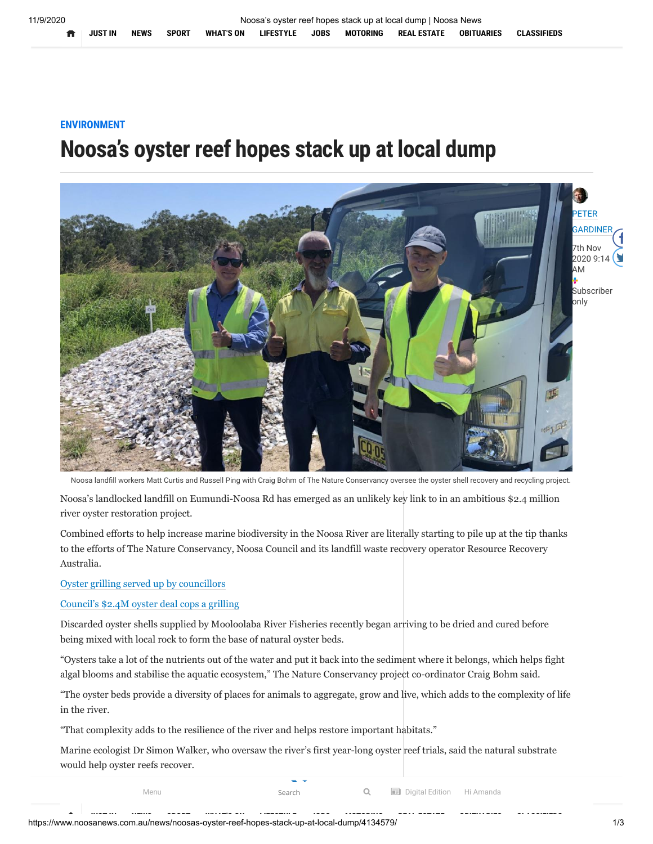## **ENVIRONMENT**

## **Noosa's oyster reef hopes stack up at local dump**



Noosa landfill workers Matt Curtis and Russell Ping with Craig Bohm of The Nature Conservancy oversee the oyster shell recovery and recycling project.

Noosa's landlocked landfill on Eumundi-Noosa Rd has emerged as an unlikely key link to in an ambitious \$2.4 million river oyster restoration project.

Combined efforts to help increase marine biodiversity in the Noosa River are literally starting to pile up at the tip thanks to the efforts of The Nature Conservancy, Noosa Council and its landfill waste recovery operator Resource Recovery Australia.

[Oyster grilling served up by councillors](https://www.noosanews.com.au/news/oyster-reef-grilling-served-up-by-councillors/4053559/)

[Council's \\$2.4M oyster deal cops a grilling](https://www.noosanews.com.au/news/noosas-oyster-reef-hopes-stack-up-at-local-dump/4134579/)

Discarded oyster shells supplied by Mooloolaba River Fisheries recently began arriving to be dried and cured before being mixed with local rock to form the base of natural oyster beds.

"Oysters take a lot of the nutrients out of the water and put it back into the sediment where it belongs, which helps fight algal blooms and stabilise the aquatic ecosystem," The Nature Conservancy project co-ordinator Craig Bohm said.

"The oyster beds provide a diversity of places for animals to aggregate, grow and live, which adds to the complexity of life in the river.

"That complexity adds to the resilience of the river and helps restore important habitats."

Marine ecologist Dr Simon Walker, who oversaw the river's first year-long oyster reef trials, said the natural substrate would help oyster reefs recover.

["Dead oyster shell needs to be put back as this is the best and most natural place for baby oysters to thrive," Dr Walker](https://www.noosanews.com.au/)

Menu **Search Communist Search Communist Communist Edition** Hi Amanda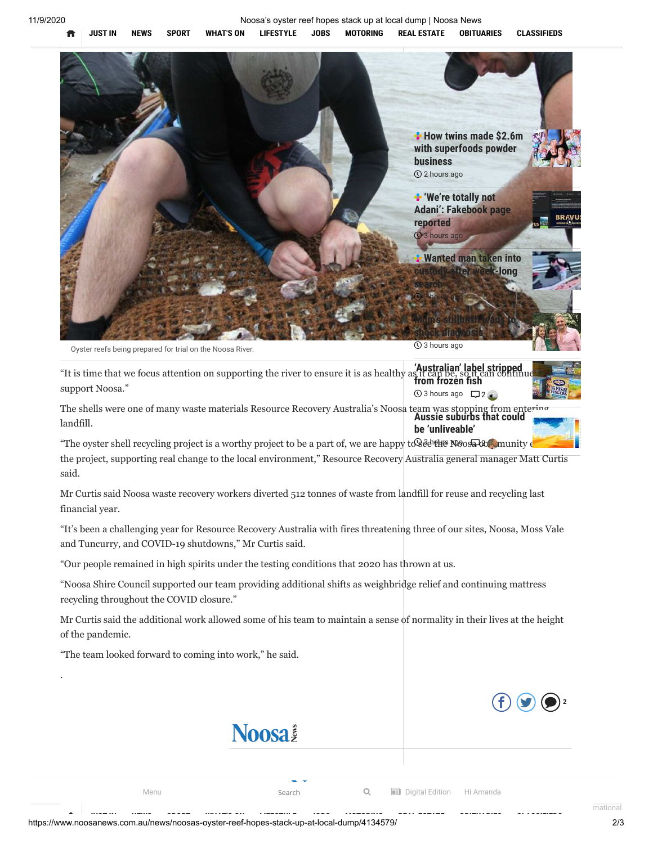

<span id="page-1-0"></span>

Oyster reefs being prepared for trial on the Noosa River.

Australian' label stripped<br>It is time that we focus attention on supporting the river to ensure it is as healthy as it can be, so it can continue support Noosa." from frozen fish  $\circledR$  3 hours ago  $\Box$  2  $\bullet$ 

The shells were one of many waste materials Resource Recovery Australia's Noosa team was stopping from entering **[Aussie suburbs that could](https://www.noosanews.com.au/news/aussie-suburbs-that-could-be-unliveable/4135412/)** landfill. **be 'unliveable'**

"The oyster shell recycling project is a worthy project to be a part of, we are happy to  $\mathcal{R}$   $\mathcal{R}$   $\mathcal{R}$  munity  $\epsilon$ the project, supporting real change to the local environment," Resource Recovery Australia general manager Matt Curtis said.

Mr Curtis said Noosa waste recovery workers diverted 512 tonnes of waste from landfill for reuse and recycling last financial year.

"It's been a challenging year for Resource Recovery Australia with fires threatening three of our sites, Noosa, Moss Vale and Tuncurry, and COVID-19 shutdowns," Mr Curtis said.

"Our people remained in high spirits under the testing conditions that 2020 has thrown at us.

"Noosa Shire Council supported our team providing additional shifts as weighbridge relief and continuing mattress recycling throughout the COVID closure."

Mr Curtis said the additional work allowed some of his team to maintain a sense of normality in their lives at the height of the pandemic.

"The team looked forward to coming into work," he said.

.



**Noosa** 

 $\Box$  [Sunshine C](https://www.noosanews.com.au/sport/)ompany Pty L[td 2020. U](https://www.noosanews.com.au/jobs/)[nauthorised rep](https://www.noosanews.com.au/cars/)roduction is probable under the laws of  $\Box$